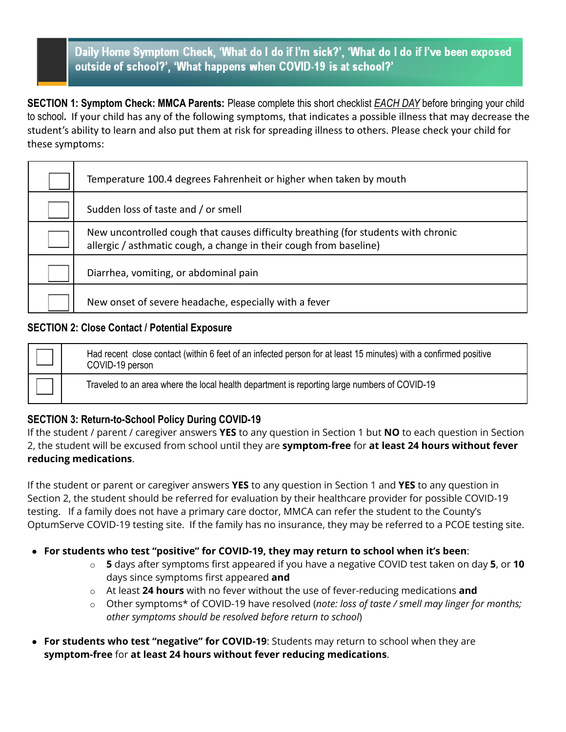# Daily Home Symptom Check, 'What do I do if I'm sick?', 'What do I do if I've been exposed outside of school?', 'What happens when COVID-19 is at school?'

**SECTION 1: Symptom Check: MMCA Parents:** Please complete this short checklist *EACH DAY* before bringing your child to school**.** If your child has any of the following symptoms, that indicates a possible illness that may decrease the student's ability to learn and also put them at risk for spreading illness to others. Please check your child for these symptoms:

| Temperature 100.4 degrees Fahrenheit or higher when taken by mouth                                                                                       |
|----------------------------------------------------------------------------------------------------------------------------------------------------------|
| Sudden loss of taste and / or smell                                                                                                                      |
| New uncontrolled cough that causes difficulty breathing (for students with chronic<br>allergic / asthmatic cough, a change in their cough from baseline) |
| Diarrhea, vomiting, or abdominal pain                                                                                                                    |
| New onset of severe headache, especially with a fever                                                                                                    |

#### **SECTION 2: Close Contact / Potential Exposure**

| Had recent close contact (within 6 feet of an infected person for at least 15 minutes) with a confirmed positive<br>COVID-19 person |
|-------------------------------------------------------------------------------------------------------------------------------------|
| Traveled to an area where the local health department is reporting large numbers of COVID-19                                        |

## **SECTION 3: Return-to-School Policy During COVID-19**

If the student / parent / caregiver answers **YES** to any question in Section 1 but **NO** to each question in Section 2, the student will be excused from school until they are **symptom-free** for **at least 24 hours without fever reducing medications**.

If the student or parent or caregiver answers **YES** to any question in Section 1 and **YES** to any question in Section 2, the student should be referred for evaluation by their healthcare provider for possible COVID-19 testing. If a family does not have a primary care doctor, MMCA can refer the student to the County's OptumServe COVID-19 testing site. If the family has no insurance, they may be referred to a PCOE testing site.

- **For students who test "positive" for COVID-19, they may return to school when it's been**:
	- o **5** days after symptoms first appeared if you have a negative COVID test taken on day **5**, or **10** days since symptoms first appeared **and**
	- o At least **24 hours** with no fever without the use of fever-reducing medications **and**
	- o Other symptoms\* of COVID-19 have resolved (*note: loss of taste / smell may linger for months; other symptoms should be resolved before return to school*)
- **For students who test "negative" for COVID-19**: Students may return to school when they are **symptom-free** for **at least 24 hours without fever reducing medications**.